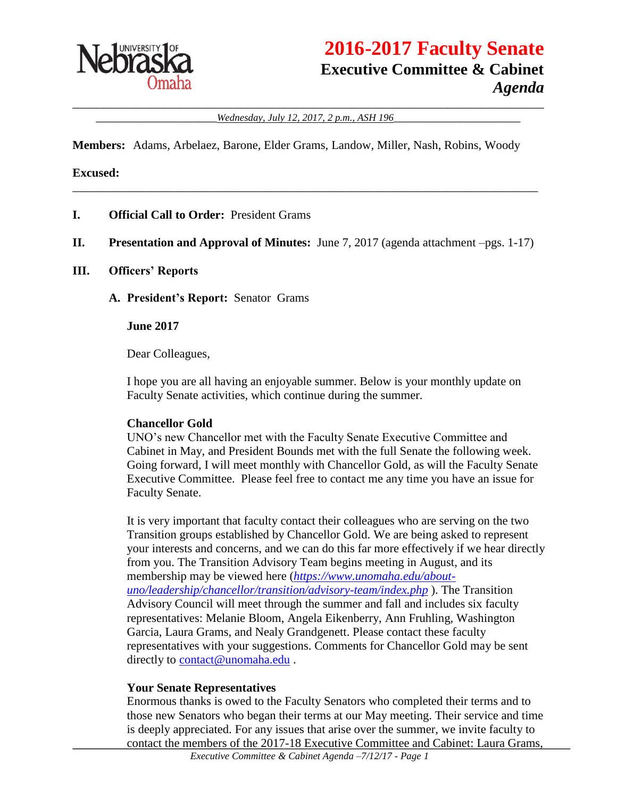

# **2016-2017 Faculty Senate Executive Committee & Cabinet** *Agenda*

\_\_\_\_\_\_\_\_\_\_\_\_\_\_\_\_\_\_\_\_\_\_\_\_\_\_\_\_\_\_\_\_\_\_\_\_\_\_\_\_\_\_\_\_\_\_\_\_\_\_\_\_\_\_\_\_\_\_\_\_\_\_\_\_\_\_\_\_\_\_\_\_\_\_\_\_\_\_ \_\_\_\_\_\_\_\_\_\_\_\_\_\_\_\_\_\_\_\_*Wednesday, July 12, 2017, 2 p.m., ASH 196*\_\_\_\_\_\_\_\_\_\_\_\_\_\_\_\_\_\_\_\_\_

**Members:** Adams, Arbelaez, Barone, Elder Grams, Landow, Miller, Nash, Robins, Woody

#### **Excused:**

- **I. Official Call to Order:** President Grams
- **II. Presentation and Approval of Minutes:** June 7, 2017 (agenda attachment –pgs. 1-17)

\_\_\_\_\_\_\_\_\_\_\_\_\_\_\_\_\_\_\_\_\_\_\_\_\_\_\_\_\_\_\_\_\_\_\_\_\_\_\_\_\_\_\_\_\_\_\_\_\_\_\_\_\_\_\_\_\_\_\_\_\_\_\_\_\_\_\_\_\_\_\_\_\_\_\_\_\_

#### **III. Officers' Reports**

**A. President's Report:** Senator Grams

**June 2017**

Dear Colleagues,

I hope you are all having an enjoyable summer. Below is your monthly update on Faculty Senate activities, which continue during the summer.

#### **Chancellor Gold**

UNO's new Chancellor met with the Faculty Senate Executive Committee and Cabinet in May, and President Bounds met with the full Senate the following week. Going forward, I will meet monthly with Chancellor Gold, as will the Faculty Senate Executive Committee. Please feel free to contact me any time you have an issue for Faculty Senate.

It is very important that faculty contact their colleagues who are serving on the two Transition groups established by Chancellor Gold. We are being asked to represent your interests and concerns, and we can do this far more effectively if we hear directly from you. The Transition Advisory Team begins meeting in August, and its membership may be viewed here (*[https://www.unomaha.edu/about](https://www.unomaha.edu/about-uno/leadership/chancellor/transition/advisory-team/index.php)[uno/leadership/chancellor/transition/advisory-team/index.php](https://www.unomaha.edu/about-uno/leadership/chancellor/transition/advisory-team/index.php)* ). The Transition Advisory Council will meet through the summer and fall and includes six faculty representatives: Melanie Bloom, Angela Eikenberry, Ann Fruhling, Washington Garcia, Laura Grams, and Nealy Grandgenett. Please contact these faculty representatives with your suggestions. Comments for Chancellor Gold may be sent directly to [contact@unomaha.edu](mailto:contact@unomaha.edu).

#### **Your Senate Representatives**

Enormous thanks is owed to the Faculty Senators who completed their terms and to those new Senators who began their terms at our May meeting. Their service and time is deeply appreciated. For any issues that arise over the summer, we invite faculty to contact the members of the 2017-18 Executive Committee and Cabinet: Laura Grams,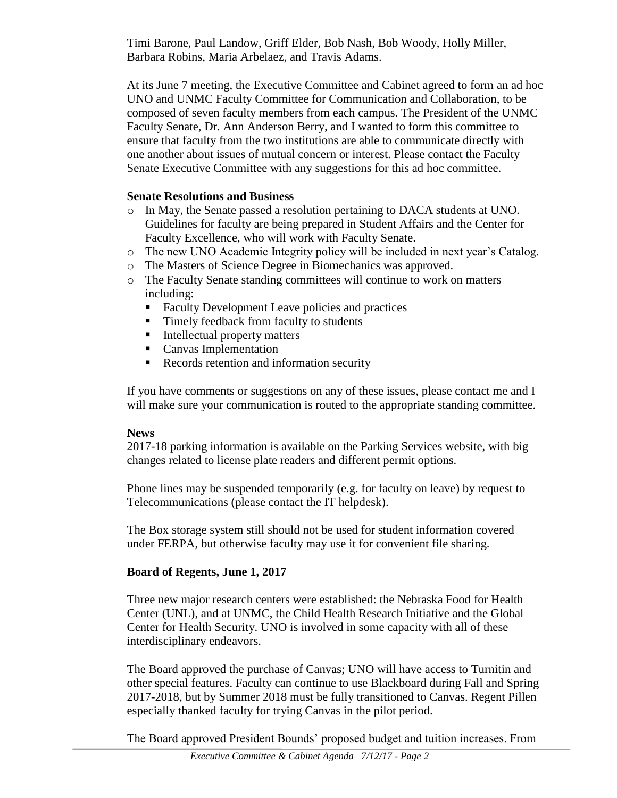Timi Barone, Paul Landow, Griff Elder, Bob Nash, Bob Woody, Holly Miller, Barbara Robins, Maria Arbelaez, and Travis Adams.

At its June 7 meeting, the Executive Committee and Cabinet agreed to form an ad hoc UNO and UNMC Faculty Committee for Communication and Collaboration, to be composed of seven faculty members from each campus. The President of the UNMC Faculty Senate, Dr. Ann Anderson Berry, and I wanted to form this committee to ensure that faculty from the two institutions are able to communicate directly with one another about issues of mutual concern or interest. Please contact the Faculty Senate Executive Committee with any suggestions for this ad hoc committee.

### **Senate Resolutions and Business**

- o In May, the Senate passed a resolution pertaining to DACA students at UNO. Guidelines for faculty are being prepared in Student Affairs and the Center for Faculty Excellence, who will work with Faculty Senate.
- o The new UNO Academic Integrity policy will be included in next year's Catalog.
- o The Masters of Science Degree in Biomechanics was approved.
- o The Faculty Senate standing committees will continue to work on matters including:
	- Faculty Development Leave policies and practices
	- Timely feedback from faculty to students
	- Intellectual property matters
	- **Canvas Implementation**
	- Records retention and information security

If you have comments or suggestions on any of these issues, please contact me and I will make sure your communication is routed to the appropriate standing committee.

#### **News**

2017-18 parking information is available on the Parking Services website, with big changes related to license plate readers and different permit options.

Phone lines may be suspended temporarily (e.g. for faculty on leave) by request to Telecommunications (please contact the IT helpdesk).

The Box storage system still should not be used for student information covered under FERPA, but otherwise faculty may use it for convenient file sharing.

#### **Board of Regents, June 1, 2017**

Three new major research centers were established: the Nebraska Food for Health Center (UNL), and at UNMC, the Child Health Research Initiative and the Global Center for Health Security. UNO is involved in some capacity with all of these interdisciplinary endeavors.

The Board approved the purchase of Canvas; UNO will have access to Turnitin and other special features. Faculty can continue to use Blackboard during Fall and Spring 2017-2018, but by Summer 2018 must be fully transitioned to Canvas. Regent Pillen especially thanked faculty for trying Canvas in the pilot period.

The Board approved President Bounds' proposed budget and tuition increases. From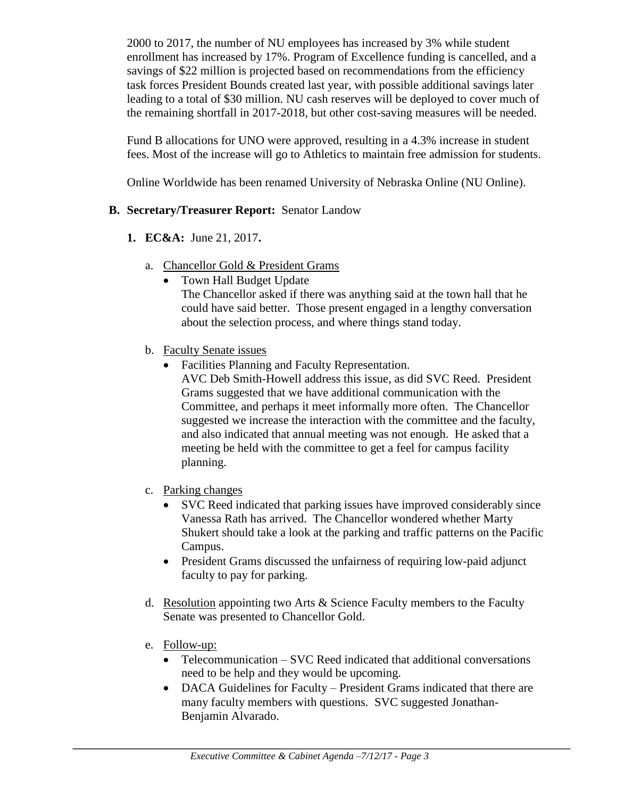2000 to 2017, the number of NU employees has increased by 3% while student enrollment has increased by 17%. Program of Excellence funding is cancelled, and a savings of \$22 million is projected based on recommendations from the efficiency task forces President Bounds created last year, with possible additional savings later leading to a total of \$30 million. NU cash reserves will be deployed to cover much of the remaining shortfall in 2017-2018, but other cost-saving measures will be needed.

Fund B allocations for UNO were approved, resulting in a 4.3% increase in student fees. Most of the increase will go to Athletics to maintain free admission for students.

Online Worldwide has been renamed University of Nebraska Online (NU Online).

### **B. Secretary/Treasurer Report:** Senator Landow

- **1. EC&A:** June 21, 2017**.**
	- a. Chancellor Gold & President Grams
		- Town Hall Budget Update The Chancellor asked if there was anything said at the town hall that he could have said better. Those present engaged in a lengthy conversation about the selection process, and where things stand today.
	- b. Faculty Senate issues
		- Facilities Planning and Faculty Representation.

AVC Deb Smith-Howell address this issue, as did SVC Reed. President Grams suggested that we have additional communication with the Committee, and perhaps it meet informally more often. The Chancellor suggested we increase the interaction with the committee and the faculty, and also indicated that annual meeting was not enough. He asked that a meeting be held with the committee to get a feel for campus facility planning.

- c. Parking changes
	- SVC Reed indicated that parking issues have improved considerably since Vanessa Rath has arrived. The Chancellor wondered whether Marty Shukert should take a look at the parking and traffic patterns on the Pacific Campus.
	- President Grams discussed the unfairness of requiring low-paid adjunct faculty to pay for parking.
- d. Resolution appointing two Arts  $\&$  Science Faculty members to the Faculty Senate was presented to Chancellor Gold.
- e. Follow-up:
	- Telecommunication SVC Reed indicated that additional conversations need to be help and they would be upcoming.
	- DACA Guidelines for Faculty President Grams indicated that there are many faculty members with questions. SVC suggested Jonathan-Benjamin Alvarado.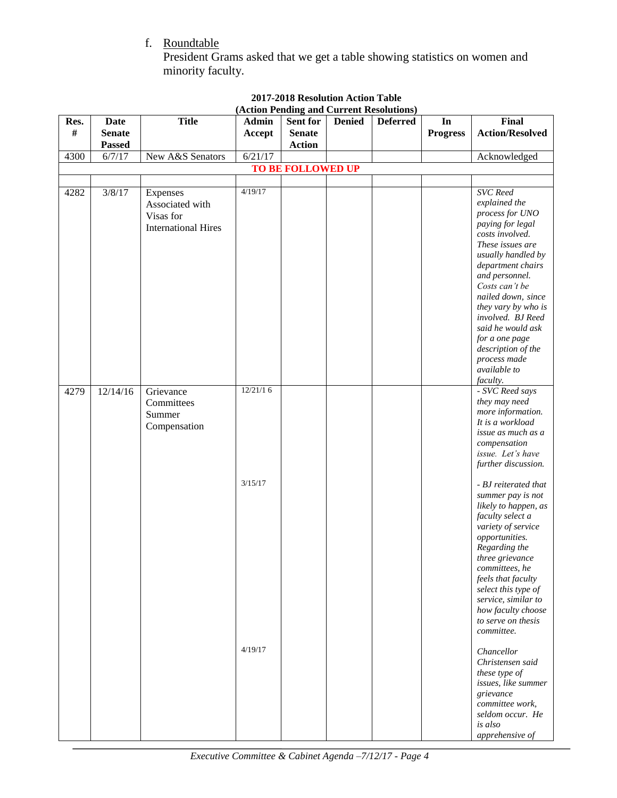f. Roundtable

President Grams asked that we get a table showing statistics on women and minority faculty.

| Res.<br>#                | <b>Date</b><br><b>Senate</b> | <b>Title</b>                                                           | <b>Admin</b><br>Accept | Sent for<br><b>Senate</b> | <b>Denied</b> | <b>Deferred</b> | In<br><b>Progress</b> | <b>Final</b><br><b>Action/Resolved</b>                                                                                                                                                                                                                                                                                                                                               |
|--------------------------|------------------------------|------------------------------------------------------------------------|------------------------|---------------------------|---------------|-----------------|-----------------------|--------------------------------------------------------------------------------------------------------------------------------------------------------------------------------------------------------------------------------------------------------------------------------------------------------------------------------------------------------------------------------------|
|                          | <b>Passed</b>                |                                                                        |                        | <b>Action</b>             |               |                 |                       |                                                                                                                                                                                                                                                                                                                                                                                      |
| 4300                     | 6/7/17                       | New A&S Senators                                                       | 6/21/17                |                           |               |                 |                       | Acknowledged                                                                                                                                                                                                                                                                                                                                                                         |
| <b>TO BE FOLLOWED UP</b> |                              |                                                                        |                        |                           |               |                 |                       |                                                                                                                                                                                                                                                                                                                                                                                      |
| 4282                     | 3/8/17                       | Expenses<br>Associated with<br>Visas for<br><b>International Hires</b> | 4/19/17                |                           |               |                 |                       | <b>SVC</b> Reed<br>explained the<br>process for UNO<br>paying for legal<br>costs involved.<br>These issues are<br>usually handled by<br>department chairs<br>and personnel.<br>Costs can't be<br>nailed down, since<br>they vary by who is<br>involved. BJ Reed<br>said he would ask<br>for a one page<br>description of the<br>process made                                         |
| 4279                     | 12/14/16                     | Grievance<br>Committees<br>Summer<br>Compensation                      | 12/21/16<br>3/15/17    |                           |               |                 |                       | available to<br>faculty.<br>- SVC Reed says<br>they may need<br>more information.<br>It is a workload<br>issue as much as a<br>compensation<br>issue. Let's have<br>further discussion.<br>- BJ reiterated that<br>summer pay is not<br>likely to happen, as<br>faculty select a                                                                                                     |
|                          |                              |                                                                        | 4/19/17                |                           |               |                 |                       | variety of service<br>opportunities.<br>Regarding the<br>three grievance<br>committees, he<br>feels that faculty<br>select this type of<br>service, similar to<br>how faculty choose<br>to serve on thesis<br>committee.<br>Chancellor<br>Christensen said<br>these type of<br>issues, like summer<br>grievance<br>committee work,<br>seldom occur. He<br>is also<br>apprehensive of |

#### **2017-2018 Resolution Action Table (Action Pending and Current Resolutions)**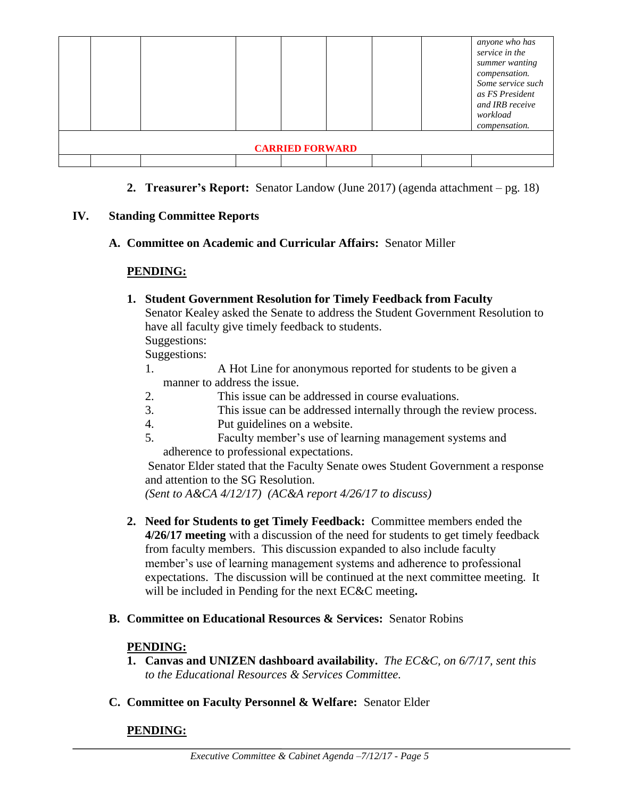|                        |  |  |  |  |  |  | anyone who has<br>service in the<br>summer wanting<br>compensation.<br>Some service such<br>as FS President<br>and IRB receive<br>workload<br>compensation. |
|------------------------|--|--|--|--|--|--|-------------------------------------------------------------------------------------------------------------------------------------------------------------|
| <b>CARRIED FORWARD</b> |  |  |  |  |  |  |                                                                                                                                                             |
|                        |  |  |  |  |  |  |                                                                                                                                                             |

**2. Treasurer's Report:** Senator Landow (June 2017) (agenda attachment – pg. 18)

### **IV. Standing Committee Reports**

**A. Committee on Academic and Curricular Affairs:** Senator Miller

# **PENDING:**

- **1. Student Government Resolution for Timely Feedback from Faculty** Senator Kealey asked the Senate to address the Student Government Resolution to have all faculty give timely feedback to students. Suggestions: Suggestions:
	- 1. A Hot Line for anonymous reported for students to be given a manner to address the issue.
	- 2. This issue can be addressed in course evaluations.
	- 3. This issue can be addressed internally through the review process.
	- 4. Put guidelines on a website.
	- 5. Faculty member's use of learning management systems and adherence to professional expectations.

Senator Elder stated that the Faculty Senate owes Student Government a response and attention to the SG Resolution.

*(Sent to A&CA 4/12/17) (AC&A report 4/26/17 to discuss)*

- **2. Need for Students to get Timely Feedback:** Committee members ended the **4/26/17 meeting** with a discussion of the need for students to get timely feedback from faculty members. This discussion expanded to also include faculty member's use of learning management systems and adherence to professional expectations. The discussion will be continued at the next committee meeting. It will be included in Pending for the next EC&C meeting**.**
- **B. Committee on Educational Resources & Services:** Senator Robins

# **PENDING:**

- **1. Canvas and UNIZEN dashboard availability.** *The EC&C, on 6/7/17, sent this to the Educational Resources & Services Committee.*
- **C. Committee on Faculty Personnel & Welfare:** Senator Elder

# **PENDING:**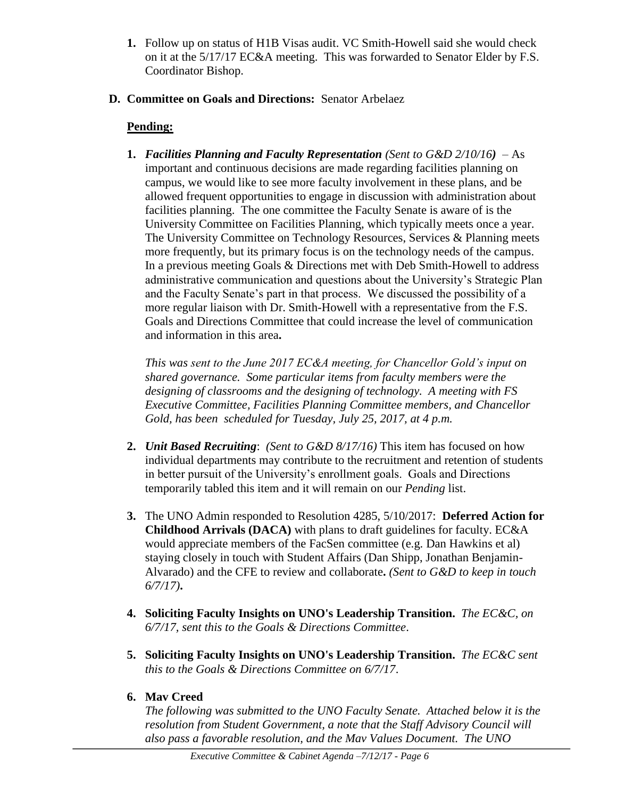- **1.** Follow up on status of H1B Visas audit. VC Smith-Howell said she would check on it at the 5/17/17 EC&A meeting. This was forwarded to Senator Elder by F.S. Coordinator Bishop.
- **D. Committee on Goals and Directions:** Senator Arbelaez

# **Pending:**

**1.** *Facilities Planning and Faculty Representation (Sent to G&D 2/10/16)*– As important and continuous decisions are made regarding facilities planning on campus, we would like to see more faculty involvement in these plans, and be allowed frequent opportunities to engage in discussion with administration about facilities planning. The one committee the Faculty Senate is aware of is the University Committee on Facilities Planning, which typically meets once a year. The University Committee on Technology Resources, Services & Planning meets more frequently, but its primary focus is on the technology needs of the campus. In a previous meeting Goals & Directions met with Deb Smith-Howell to address administrative communication and questions about the University's Strategic Plan and the Faculty Senate's part in that process. We discussed the possibility of a more regular liaison with Dr. Smith-Howell with a representative from the F.S. Goals and Directions Committee that could increase the level of communication and information in this area**.** 

*This was sent to the June 2017 EC&A meeting, for Chancellor Gold's input on shared governance. Some particular items from faculty members were the designing of classrooms and the designing of technology. A meeting with FS Executive Committee, Facilities Planning Committee members, and Chancellor Gold, has been scheduled for Tuesday, July 25, 2017, at 4 p.m.*

- **2.** *Unit Based Recruiting*: *(Sent to G&D 8/17/16)* This item has focused on how individual departments may contribute to the recruitment and retention of students in better pursuit of the University's enrollment goals. Goals and Directions temporarily tabled this item and it will remain on our *Pending* list.
- **3.** The UNO Admin responded to Resolution 4285, 5/10/2017: **Deferred Action for Childhood Arrivals (DACA)** with plans to draft guidelines for faculty. EC&A would appreciate members of the FacSen committee (e.g. Dan Hawkins et al) staying closely in touch with Student Affairs (Dan Shipp, Jonathan Benjamin-Alvarado) and the CFE to review and collaborate**.** *(Sent to G&D to keep in touch 6/7/17)***.**
- **4. Soliciting Faculty Insights on UNO's Leadership Transition.** *The EC&C, on 6/7/17, sent this to the Goals & Directions Committee*.
- **5. Soliciting Faculty Insights on UNO's Leadership Transition.** *The EC&C sent this to the Goals & Directions Committee on 6/7/17*.
- **6. Mav Creed**

*The following was submitted to the UNO Faculty Senate. Attached below it is the resolution from Student Government, a note that the Staff Advisory Council will also pass a favorable resolution, and the Mav Values Document. The UNO*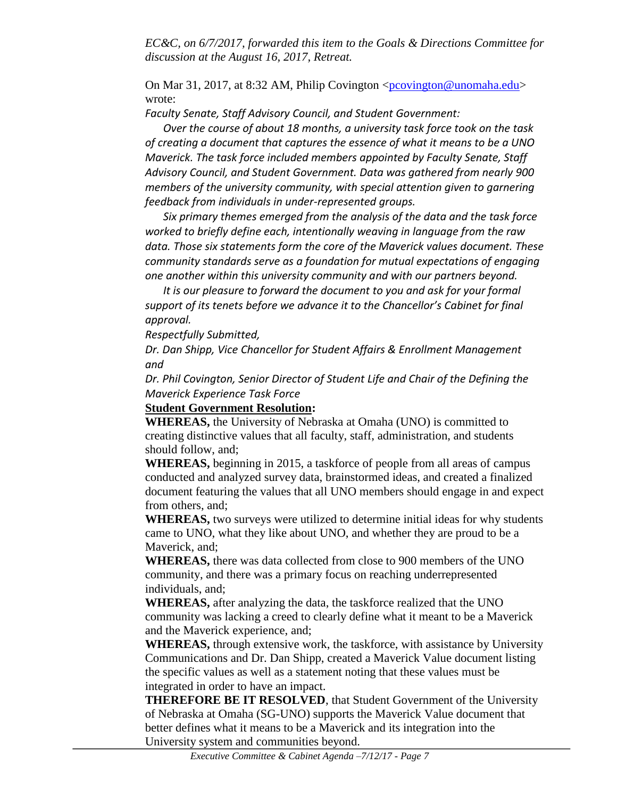*EC&C, on 6/7/2017, forwarded this item to the Goals & Directions Committee for discussion at the August 16, 2017, Retreat.*

On Mar 31, 2017, at 8:32 AM, Philip Covington  $\leq$  provington @unomaha.edu> wrote:

*Faculty Senate, Staff Advisory Council, and Student Government:*

*Over the course of about 18 months, a university task force took on the task of creating a document that captures the essence of what it means to be a UNO Maverick. The task force included members appointed by Faculty Senate, Staff Advisory Council, and Student Government. Data was gathered from nearly 900 members of the university community, with special attention given to garnering feedback from individuals in under-represented groups.*

*Six primary themes emerged from the analysis of the data and the task force worked to briefly define each, intentionally weaving in language from the raw data. Those six statements form the core of the Maverick values document. These community standards serve as a foundation for mutual expectations of engaging one another within this university community and with our partners beyond.*

*It is our pleasure to forward the document to you and ask for your formal support of its tenets before we advance it to the Chancellor's Cabinet for final approval.*

*Respectfully Submitted,*

*Dr. Dan Shipp, Vice Chancellor for Student Affairs & Enrollment Management and*

*Dr. Phil Covington, Senior Director of Student Life and Chair of the Defining the Maverick Experience Task Force*

### **Student Government Resolution:**

**WHEREAS,** the University of Nebraska at Omaha (UNO) is committed to creating distinctive values that all faculty, staff, administration, and students should follow, and;

**WHEREAS,** beginning in 2015, a taskforce of people from all areas of campus conducted and analyzed survey data, brainstormed ideas, and created a finalized document featuring the values that all UNO members should engage in and expect from others, and;

**WHEREAS,** two surveys were utilized to determine initial ideas for why students came to UNO, what they like about UNO, and whether they are proud to be a Maverick, and;

**WHEREAS,** there was data collected from close to 900 members of the UNO community, and there was a primary focus on reaching underrepresented individuals, and;

**WHEREAS,** after analyzing the data, the taskforce realized that the UNO community was lacking a creed to clearly define what it meant to be a Maverick and the Maverick experience, and;

**WHEREAS,** through extensive work, the taskforce, with assistance by University Communications and Dr. Dan Shipp, created a Maverick Value document listing the specific values as well as a statement noting that these values must be integrated in order to have an impact.

**THEREFORE BE IT RESOLVED**, that Student Government of the University of Nebraska at Omaha (SG-UNO) supports the Maverick Value document that better defines what it means to be a Maverick and its integration into the University system and communities beyond.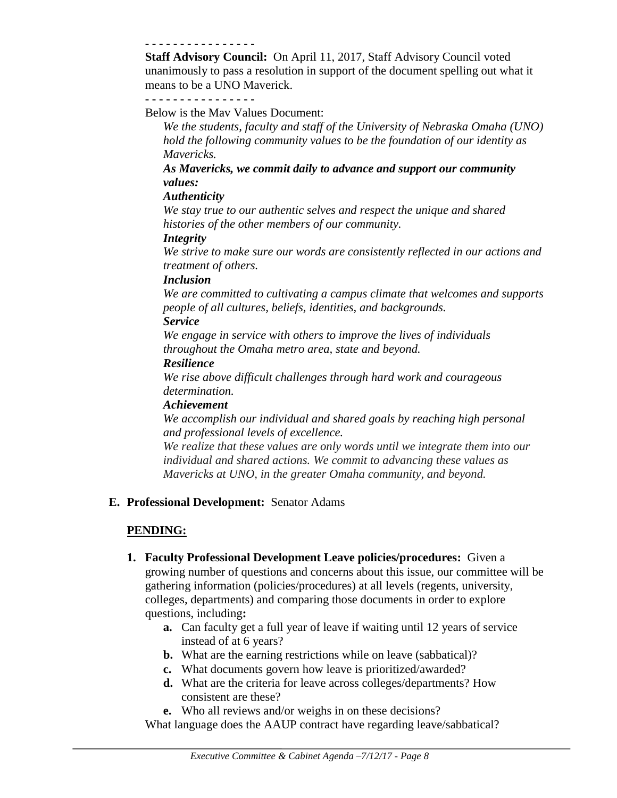#### **- - - - - - - - - - - - - - - -**

**Staff Advisory Council:** On April 11, 2017, Staff Advisory Council voted unanimously to pass a resolution in support of the document spelling out what it means to be a UNO Maverick.

#### **- - - - - - - - - - - - - - - -**

Below is the Mav Values Document:

*We the students, faculty and staff of the University of Nebraska Omaha (UNO) hold the following community values to be the foundation of our identity as Mavericks.*

*As Mavericks, we commit daily to advance and support our community values:*

#### *Authenticity*

*We stay true to our authentic selves and respect the unique and shared histories of the other members of our community.*

#### *Integrity*

*We strive to make sure our words are consistently reflected in our actions and treatment of others.*

#### *Inclusion*

*We are committed to cultivating a campus climate that welcomes and supports people of all cultures, beliefs, identities, and backgrounds.*

#### *Service*

*We engage in service with others to improve the lives of individuals throughout the Omaha metro area, state and beyond.* 

#### *Resilience*

*We rise above difficult challenges through hard work and courageous determination.* 

#### *Achievement*

*We accomplish our individual and shared goals by reaching high personal and professional levels of excellence.*

*We realize that these values are only words until we integrate them into our individual and shared actions. We commit to advancing these values as Mavericks at UNO, in the greater Omaha community, and beyond.*

#### **E. Professional Development:** Senator Adams

#### **PENDING:**

- **1. Faculty Professional Development Leave policies/procedures:** Given a growing number of questions and concerns about this issue, our committee will be gathering information (policies/procedures) at all levels (regents, university, colleges, departments) and comparing those documents in order to explore questions, including**:** 
	- **a.** Can faculty get a full year of leave if waiting until 12 years of service instead of at 6 years?
	- **b.** What are the earning restrictions while on leave (sabbatical)?
	- **c.** What documents govern how leave is prioritized/awarded?
	- **d.** What are the criteria for leave across colleges/departments? How consistent are these?
	- **e.** Who all reviews and/or weighs in on these decisions?

What language does the AAUP contract have regarding leave/sabbatical?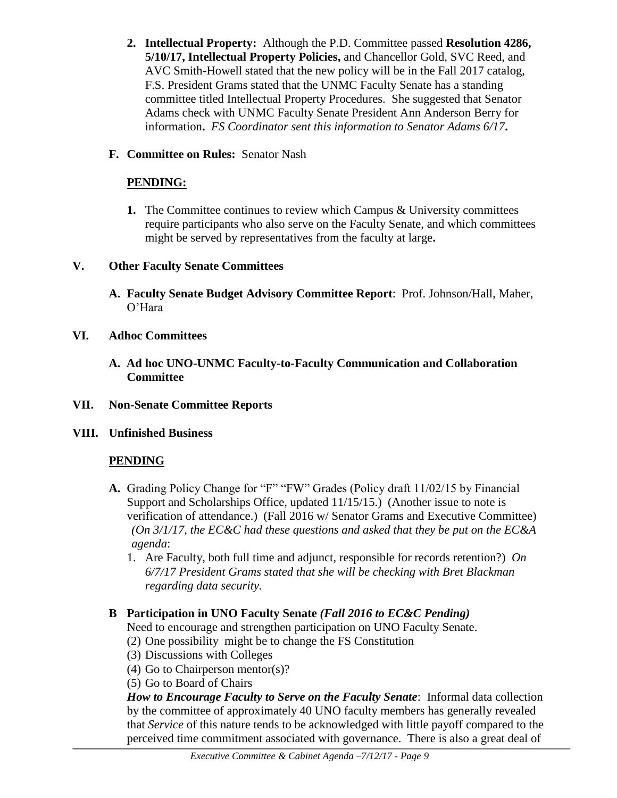- **2. Intellectual Property:** Although the P.D. Committee passed **Resolution 4286, 5/10/17, Intellectual Property Policies,** and Chancellor Gold, SVC Reed, and AVC Smith-Howell stated that the new policy will be in the Fall 2017 catalog, F.S. President Grams stated that the UNMC Faculty Senate has a standing committee titled Intellectual Property Procedures. She suggested that Senator Adams check with UNMC Faculty Senate President Ann Anderson Berry for information**.** *FS Coordinator sent this information to Senator Adams 6/17***.**
- **F. Committee on Rules:** Senator Nash

### **PENDING:**

**1.** The Committee continues to review which Campus & University committees require participants who also serve on the Faculty Senate, and which committees might be served by representatives from the faculty at large**.** 

### **V. Other Faculty Senate Committees**

- **A. Faculty Senate Budget Advisory Committee Report**: Prof. Johnson/Hall, Maher, O'Hara
- **VI. Adhoc Committees**
	- **A. Ad hoc UNO-UNMC Faculty-to-Faculty Communication and Collaboration Committee**
- **VII. Non-Senate Committee Reports**
- **VIII. Unfinished Business**

# **PENDING**

- **A.** Grading Policy Change for "F" "FW" Grades (Policy draft 11/02/15 by Financial Support and Scholarships Office, updated 11/15/15.) (Another issue to note is verification of attendance.) (Fall 2016 w/ Senator Grams and Executive Committee) *(On 3/1/17, the EC&C had these questions and asked that they be put on the EC&A agenda*:
	- 1. Are Faculty, both full time and adjunct, responsible for records retention?) *On 6/7/17 President Grams stated that she will be checking with Bret Blackman regarding data security.*

# **B Participation in UNO Faculty Senate** *(Fall 2016 to EC&C Pending)*

- Need to encourage and strengthen participation on UNO Faculty Senate.
- (2) One possibility might be to change the FS Constitution
- (3) Discussions with Colleges
- (4) Go to Chairperson mentor(s)?
- (5) Go to Board of Chairs

*How to Encourage Faculty to Serve on the Faculty Senate*: Informal data collection by the committee of approximately 40 UNO faculty members has generally revealed that *Service* of this nature tends to be acknowledged with little payoff compared to the perceived time commitment associated with governance. There is also a great deal of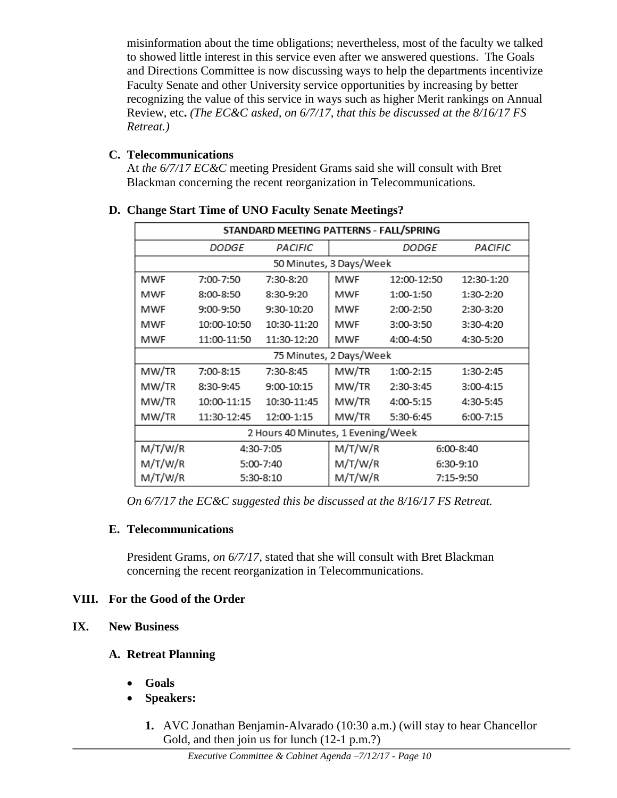misinformation about the time obligations; nevertheless, most of the faculty we talked to showed little interest in this service even after we answered questions. The Goals and Directions Committee is now discussing ways to help the departments incentivize Faculty Senate and other University service opportunities by increasing by better recognizing the value of this service in ways such as higher Merit rankings on Annual Review, etc**.** *(The EC&C asked, on 6/7/17, that this be discussed at the 8/16/17 FS Retreat.)*

# **C. Telecommunications**

At *the 6/7/17 EC&C* meeting President Grams said she will consult with Bret Blackman concerning the recent reorganization in Telecommunications.

| STANDARD MEETING PATTERNS - FALL/SPRING |                         |             |         |              |             |  |  |  |
|-----------------------------------------|-------------------------|-------------|---------|--------------|-------------|--|--|--|
|                                         | <i>DODGE</i>            | PACIFIC     |         | <b>DODGE</b> | PACIFIC     |  |  |  |
|                                         | 50 Minutes, 3 Days/Week |             |         |              |             |  |  |  |
| <b>MWF</b>                              | 7:00-7:50               | 7:30-8:20   | MWF     | 12:00-12:50  | 12:30-1:20  |  |  |  |
| MWF                                     | 8:00-8:50               | 8:30-9:20   | MWF     | 1:00-1:50    | 1:30-2:20   |  |  |  |
| MWF                                     | $9:00-9:50$             | 9:30-10:20  | MWF     | 2:00-2:50    | 2:30-3:20   |  |  |  |
| MWF                                     | 10:00-10:50             | 10:30-11:20 | MWF     | 3:00-3:50    | 3:30-4:20   |  |  |  |
| MWF                                     | 11:00-11:50             | 11:30-12:20 | MWF     | 4:00-4:50    | 4:30-5:20   |  |  |  |
| 75 Minutes, 2 Days/Week                 |                         |             |         |              |             |  |  |  |
| MW/TR                                   | 7:00-8:15               | 7:30-8:45   | MW/TR   | 1:00-2:15    | 1:30-2:45   |  |  |  |
| MW/TR                                   | 8:30-9:45               | 9:00-10:15  | MW/TR   | 2:30-3:45    | $3:00-4:15$ |  |  |  |
| MW/TR                                   | 10:00-11:15             | 10:30-11:45 | MW/TR   | 4:00-5:15    | 4:30-5:45   |  |  |  |
| MW/TR                                   | 11:30-12:45             | 12:00-1:15  | MW/TR   | 5:30-6:45    | 6:00-7:15   |  |  |  |
| 2 Hours 40 Minutes, 1 Evening/Week      |                         |             |         |              |             |  |  |  |
| M/T/W/R                                 |                         | 4:30-7:05   | M/T/W/R |              | 6:00-8:40   |  |  |  |
| M/T/W/R                                 |                         | 5:00-7:40   | M/T/W/R |              | 6:30-9:10   |  |  |  |
| M/T/W/R                                 |                         | 5:30-8:10   | M/T/W/R |              | 7:15-9:50   |  |  |  |

# **D. Change Start Time of UNO Faculty Senate Meetings?**

*On 6/7/17 the EC&C suggested this be discussed at the 8/16/17 FS Retreat.*

# **E. Telecommunications**

President Grams, *on 6/7/17,* stated that she will consult with Bret Blackman concerning the recent reorganization in Telecommunications.

# **VIII. For the Good of the Order**

# **IX. New Business**

# **A. Retreat Planning**

- **Goals**
- **Speakers:** 
	- **1.** AVC Jonathan Benjamin-Alvarado (10:30 a.m.) (will stay to hear Chancellor Gold, and then join us for lunch (12-1 p.m.?)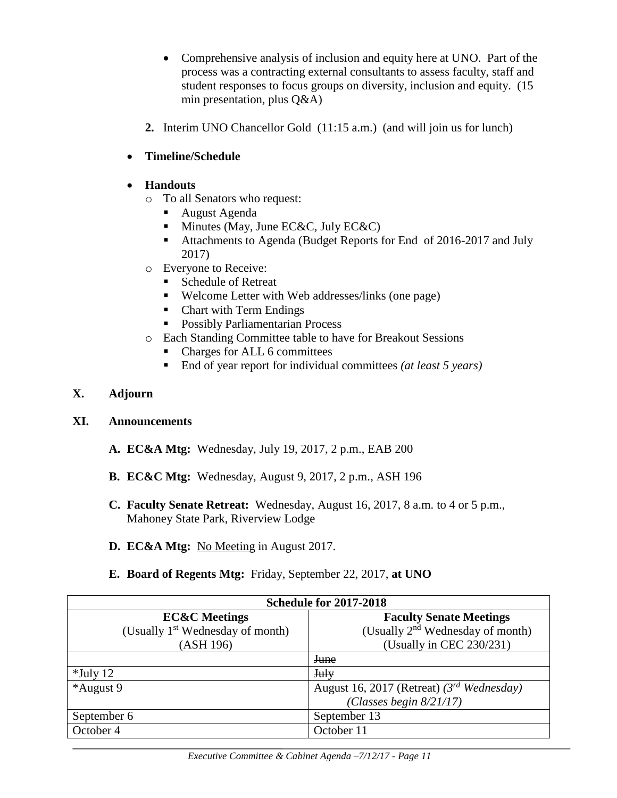- Comprehensive analysis of inclusion and equity here at UNO. Part of the process was a contracting external consultants to assess faculty, staff and student responses to focus groups on diversity, inclusion and equity. (15 min presentation, plus Q&A)
- **2.** Interim UNO Chancellor Gold (11:15 a.m.) (and will join us for lunch)
- **Timeline/Schedule**
- **Handouts** 
	- o To all Senators who request:
		- August Agenda
		- $\blacksquare$  Minutes (May, June EC&C, July EC&C)
		- Attachments to Agenda (Budget Reports for End of 2016-2017 and July 2017)
	- o Everyone to Receive:
		- Schedule of Retreat
		- Welcome Letter with Web addresses/links (one page)
		- Chart with Term Endings
		- Possibly Parliamentarian Process
	- o Each Standing Committee table to have for Breakout Sessions
		- Charges for ALL 6 committees
		- End of year report for individual committees *(at least 5 years)*

### **X. Adjourn**

### **XI. Announcements**

- **A. EC&A Mtg:** Wednesday, July 19, 2017, 2 p.m., EAB 200
- **B. EC&C Mtg:** Wednesday, August 9, 2017, 2 p.m., ASH 196
- **C. Faculty Senate Retreat:** Wednesday, August 16, 2017, 8 a.m. to 4 or 5 p.m., Mahoney State Park, Riverview Lodge
- **D. EC&A Mtg:** No Meeting in August 2017.
- **E. Board of Regents Mtg:** Friday, September 22, 2017, **at UNO**

| <b>Schedule for 2017-2018</b>                |                                                |  |  |  |
|----------------------------------------------|------------------------------------------------|--|--|--|
| <b>EC&amp;C</b> Meetings                     | <b>Faculty Senate Meetings</b>                 |  |  |  |
| (Usually 1 <sup>st</sup> Wednesday of month) | (Usually 2 <sup>nd</sup> Wednesday of month)   |  |  |  |
| (ASH 196)                                    | (Usually in CEC $230/231$ )                    |  |  |  |
|                                              | <b>June</b>                                    |  |  |  |
| $*$ July 12                                  | <b>July</b>                                    |  |  |  |
| *August 9                                    | August 16, 2017 (Retreat) $(3^{rd}$ Wednesday) |  |  |  |
|                                              | (Classes begin $8/21/17$ )                     |  |  |  |
| September 6                                  | September 13                                   |  |  |  |
| October 4                                    | October 11                                     |  |  |  |